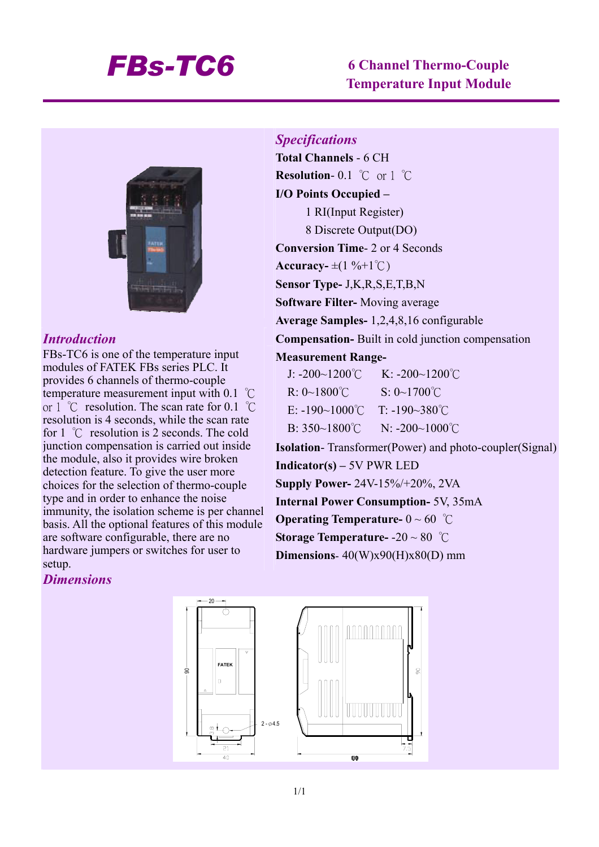# *FBs-TC6* **6 Channel Thermo-Couple Temperature Input Module**



### *Introduction*

FBs-TC6 is one of the temperature input modules of FATEK FBs series PLC. It provides 6 channels of thermo-couple temperature measurement input with 0.1 ℃ or 1 ℃ resolution. The scan rate for 0.1 ℃ resolution is 4 seconds, while the scan rate for 1 ℃ resolution is 2 seconds. The cold junction compensation is carried out inside the module, also it provides wire broken detection feature. To give the user more choices for the selection of thermo-couple type and in order to enhance the noise immunity, the isolation scheme is per channel basis. All the optional features of this module are software configurable, there are no hardware jumpers or switches for user to setup.

# *Specifications*

**Total Channels** - 6 CH **Resolution**- 0.1 ℃ or 1 ℃ **I/O Points Occupied –**  1 RI(Input Register) 8 Discrete Output(DO) **Conversion Time**- 2 or 4 Seconds  $\textbf{Accuracy} = \pm (1 \, \% + 1 \, ^{\circ}\text{C})$ **Sensor Type-** J,K,R,S,E,T,B,N **Software Filter-** Moving average **Average Samples-** 1,2,4,8,16 configurable **Compensation-** Built in cold junction compensation **Measurement Range-**J: -200~1200℃ K: -200~1200℃ R: 0~1800℃ S: 0~1700℃ E:  $-190~1000$ °C T:  $-190~380$ °C  $B: 350~1800°C$  N: -200~1000°C **Isolation**- Transformer(Power) and photo-coupler(Signal) **Indicator(s) –** 5V PWR LED **Supply Power-** 24V-15%/+20%, 2VA **Internal Power Consumption-** 5V, 35mA **Operating Temperature-** 0 ~ 60 ℃ **Storage Temperature-** -20 ~ 80 ℃

**Dimensions**- 40(W)x90(H)x80(D) mm

#### *Dimensions*

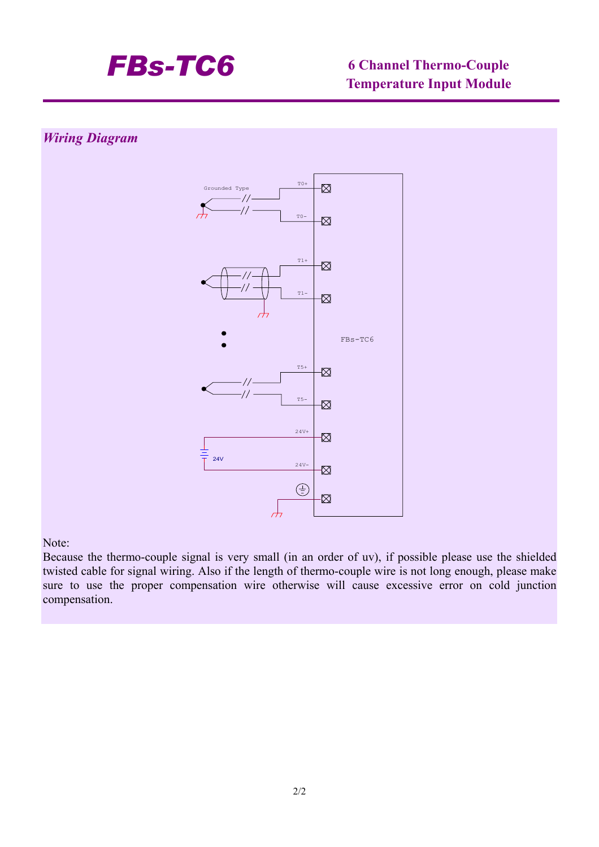

# **Temperature Input Module**

## *Wiring Diagram*



#### Note:

Because the thermo-couple signal is very small (in an order of uv), if possible please use the shielded twisted cable for signal wiring. Also if the length of thermo-couple wire is not long enough, please make sure to use the proper compensation wire otherwise will cause excessive error on cold junction compensation.